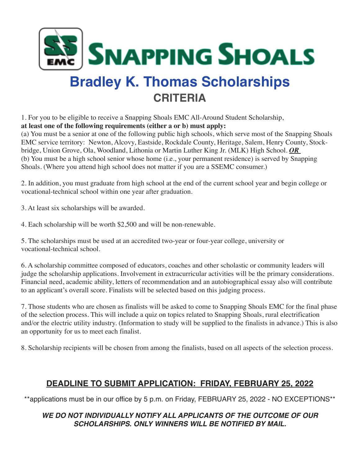

# **Bradley K. Thomas Scholarships CRITERIA**

1. For you to be eligible to receive a Snapping Shoals EMC All-Around Student Scholarship, **at least one of the following requirements (either a or b) must apply:**

(a) You must be a senior at one of the following public high schools, which serve most of the Snapping Shoals EMC service territory: Newton, Alcovy, Eastside, Rockdale County, Heritage, Salem, Henry County, Stockbridge, Union Grove, Ola, Woodland, Lithonia or Martin Luther King Jr. (MLK) High School. *OR* (b) You must be a high school senior whose home (i.e., your permanent residence) is served by Snapping Shoals. (Where you attend high school does not matter if you are a SSEMC consumer.)

2. In addition, you must graduate from high school at the end of the current school year and begin college or vocational-technical school within one year after graduation.

3. At least six scholarships will be awarded.

4. Each scholarship will be worth \$2,500 and will be non-renewable.

5. The scholarships must be used at an accredited two-year or four-year college, university or vocational-technical school.

6. A scholarship committee composed of educators, coaches and other scholastic or community leaders will judge the scholarship applications. Involvement in extracurricular activities will be the primary considerations. Financial need, academic ability, letters of recommendation and an autobiographical essay also will contribute to an applicant's overall score. Finalists will be selected based on this judging process.

7. Those students who are chosen as finalists will be asked to come to Snapping Shoals EMC for the final phase of the selection process. This will include a quiz on topics related to Snapping Shoals, rural electrification and/or the electric utility industry. (Information to study will be supplied to the finalists in advance.) This is also an opportunity for us to meet each finalist.

8. Scholarship recipients will be chosen from among the finalists, based on all aspects of the selection process.

## **DEADLINE TO SUBMIT APPLICATION: FRIDAY, FEBRUARY 25, 2022**

\*\*applications must be in our office by 5 p.m. on Friday, FEBRUARY 25, 2022 - NO EXCEPTIONS\*\*

### **WE DO NOT INDIVIDUALLY NOTIFY ALL APPLICANTS OF THE OUTCOME OF OUR SCHOLARSHIPS. ONLY WINNERS WILL BE NOTIFIED BY MAIL.**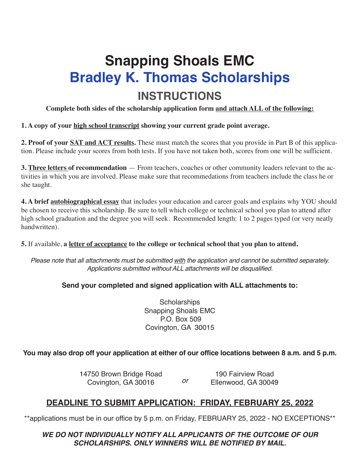# **Snapping Shoals EMC Bradley K. Thomas Scholarships INSTRUCTIONS**

**Complete both sides of the scholarship application form and attach ALL of the following:**

#### **1. A copy of your high school transcript showing your current grade point average.**

**2. Proof of your SAT and ACT results.** These must match the scores that you provide in Part B of this application. Please include your scores from both tests. If you have not taken both, scores from one will be sufficient.

**3. Three letters of recommendation** — From teachers, coaches or other community leaders relevant to the activities in which you are involved. Please make sure that recommedations from teachers include the class he or she taught.

**4. A brief autobiographical essay** that includes your education and career goals and explains why YOU should be chosen to receive this scholarship. Be sure to tell which college or technical school you plan to attend after high school graduation and the degree you will seek. Recommended length: 1 to 2 pages typed (or very neatly handwritten).

**5.** If available, **a letter of acceptance to the college or technical school that you plan to attend.**

Please note that all attachments must be submitted with the application and cannot be submitted separately. Applications submitted without ALL attachments will be disqualified.

### **Send your completed and signed application with ALL attachments to:**

**Scholarships** Snapping Shoals EMC P.O. Box 509 Covington, GA 30015

### You may also drop off your application at either of our office locations between 8 a.m. and 5 p.m.

14750 Brown Bridge Road Covington, GA 30016 190 Fairview Road or Ellenwood, GA 30049

## **DEADLINE TO SUBMIT APPLICATION: FRIDAY, FEBRUARY 25, 2022**

\*\*applications must be in our office by 5 p.m. on Friday, FEBRUARY 25, 2022 - NO EXCEPTIONS\*\*

**WE DO NOT INDIVIDUALLY NOTIFY ALL APPLICANTS OF THE OUTCOME OF OUR SCHOLARSHIPS. ONLY WINNERS WILL BE NOTIFIED BY MAIL.**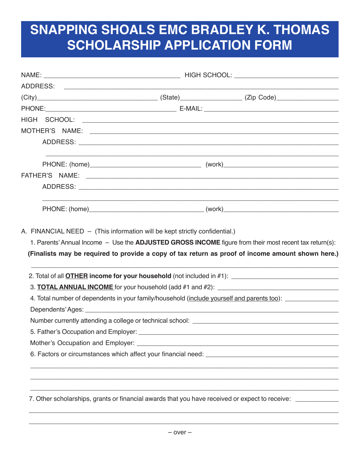# **SNAPPING SHOALS EMC BRADLEY K. THOMAS SCHOLARSHIP APPLICATION FORM**

| 4. Total number of dependents in your family/household (include yourself and parents too): |  |                                                                                                                                                                                      |  |  |
|--------------------------------------------------------------------------------------------|--|--------------------------------------------------------------------------------------------------------------------------------------------------------------------------------------|--|--|
|                                                                                            |  |                                                                                                                                                                                      |  |  |
|                                                                                            |  |                                                                                                                                                                                      |  |  |
|                                                                                            |  |                                                                                                                                                                                      |  |  |
|                                                                                            |  |                                                                                                                                                                                      |  |  |
|                                                                                            |  | <u> 1980 - Johann Stoff, amerikansk politiker (d. 1980)</u><br><u> 1989 - Johann Harry Harry Harry Harry Harry Harry Harry Harry Harry Harry Harry Harry Harry Harry Harry Harry</u> |  |  |
|                                                                                            |  | <u> 1990 - Jan Barat, Amerikaansk politiker (* 1900)</u>                                                                                                                             |  |  |
|                                                                                            |  | 7. Other scholarships, grants or financial awards that you have received or expect to receive: ___________                                                                           |  |  |
|                                                                                            |  |                                                                                                                                                                                      |  |  |

\_\_\_\_\_\_\_\_\_\_\_\_\_\_\_\_\_\_\_\_\_\_\_\_\_\_\_\_\_\_\_\_\_\_\_\_\_\_\_\_\_\_\_\_\_\_\_\_\_\_\_\_\_\_\_\_\_\_\_\_\_\_\_\_\_\_\_\_\_\_\_\_\_\_\_\_\_\_\_\_\_\_\_\_\_\_\_